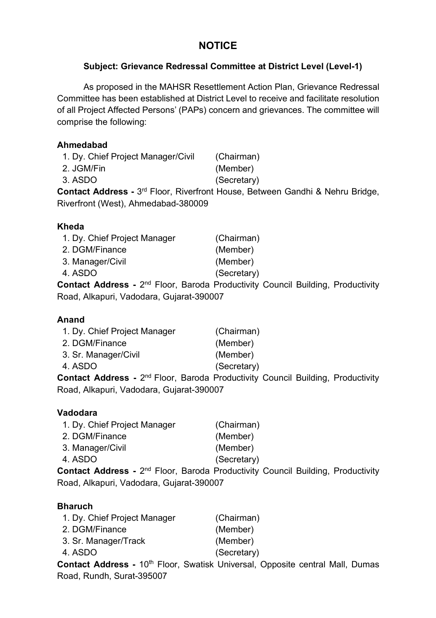# **NOTICE**

# **Subject: Grievance Redressal Committee at District Level (Level-1)**

As proposed in the MAHSR Resettlement Action Plan, Grievance Redressal Committee has been established at District Level to receive and facilitate resolution of all Project Affected Persons' (PAPs) concern and grievances. The committee will comprise the following:

### **Ahmedabad**

| (Chairman)  |
|-------------|
| (Member)    |
| (Secretary) |
|             |

**Contact Address -** 3rd Floor, Riverfront House, Between Gandhi & Nehru Bridge, Riverfront (West), Ahmedabad-380009

### **Kheda**

| 1. Dy. Chief Project Manager |     | (Chairman)  |
|------------------------------|-----|-------------|
| 2. DGM/Finance               |     | (Member)    |
| 3. Manager/Civil             |     | (Member)    |
| 4. ASDO                      |     | (Secretary) |
|                              | --- |             |

**Contact Address -** 2nd Floor, Baroda Productivity Council Building, Productivity Road, Alkapuri, Vadodara, Gujarat-390007

### **Anand**

| (Chairman)  |
|-------------|
| (Member)    |
| (Member)    |
| (Secretary) |
|             |

**Contact Address -** 2nd Floor, Baroda Productivity Council Building, Productivity Road, Alkapuri, Vadodara, Gujarat-390007

### **Vadodara**

| 1. Dy. Chief Project Manager | (Chairman)  |
|------------------------------|-------------|
| 2. DGM/Finance               | (Member)    |
| 3. Manager/Civil             | (Member)    |
| 4. ASDO                      | (Secretary) |
|                              |             |

**Contact Address -** 2nd Floor, Baroda Productivity Council Building, Productivity Road, Alkapuri, Vadodara, Gujarat-390007

### **Bharuch**

| 1. Dy. Chief Project Manager                                            | (Chairman)  |
|-------------------------------------------------------------------------|-------------|
| 2. DGM/Finance                                                          | (Member)    |
| 3. Sr. Manager/Track                                                    | (Member)    |
| 4. ASDO                                                                 | (Secretary) |
| <b>Contact Address - 10<sup>th</sup> Floor, Swatisk Universal, Oppo</b> |             |

**Contact Address -** 10<sup>th</sup> Floor, Swatisk Universal, Opposite central Mall, Dumas Road, Rundh, Surat-395007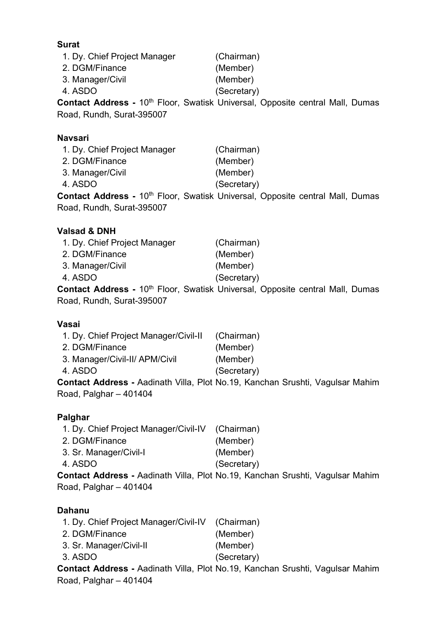1. Dy. Chief Project Manager (Chairman) 2. DGM/Finance (Member) 3. Manager/Civil (Member) 4. ASDO (Secretary) **Contact Address -** 10<sup>th</sup> Floor, Swatisk Universal, Opposite central Mall, Dumas Road, Rundh, Surat-395007

### **Navsari**

| 1. Dy. Chief Project Manager | (Chairman)                                                                                |
|------------------------------|-------------------------------------------------------------------------------------------|
| 2. DGM/Finance               | (Member)                                                                                  |
| 3. Manager/Civil             | (Member)                                                                                  |
| 4. ASDO                      | (Secretary)                                                                               |
|                              | Contact Address - 10 <sup>th</sup> Floor, Swatisk Universal, Opposite central Mall, Dumas |

Road, Rundh, Surat-395007

### **Valsad & DNH**

| 1. Dy. Chief Project Manager |                 | (Chairman)  |  |
|------------------------------|-----------------|-------------|--|
| 2. DGM/Finance               |                 | (Member)    |  |
| 3. Manager/Civil             |                 | (Member)    |  |
| 4. ASDO                      |                 | (Secretary) |  |
| .                            | $\overline{AB}$ |             |  |

**Contact Address -** 10<sup>th</sup> Floor, Swatisk Universal, Opposite central Mall, Dumas Road, Rundh, Surat-395007

### **Vasai**

|                                       | <b>Contact Address -</b> Aadinath Villa, Plot No.19, Kanchan Srushti, Vagulsar Mahim |
|---------------------------------------|--------------------------------------------------------------------------------------|
| 4. ASDO                               | (Secretary)                                                                          |
| 3. Manager/Civil-II/ APM/Civil        | (Member)                                                                             |
| 2. DGM/Finance                        | (Member)                                                                             |
| 1. Dy. Chief Project Manager/Civil-II | (Chairman)                                                                           |

Road, Palghar – 401404

### **Palghar**

| 1. Dy. Chief Project Manager/Civil-IV (Chairman) |             |
|--------------------------------------------------|-------------|
| 2. DGM/Finance                                   | (Member)    |
| 3. Sr. Manager/Civil-I                           | (Member)    |
| 4. ASDO                                          | (Secretary) |
|                                                  |             |

**Contact Address -** Aadinath Villa, Plot No.19, Kanchan Srushti, Vagulsar Mahim Road, Palghar – 401404

# **Dahanu**

| 1. Dy. Chief Project Manager/Civil-IV (Chairman) |                                                                               |
|--------------------------------------------------|-------------------------------------------------------------------------------|
| 2. DGM/Finance                                   | (Member)                                                                      |
| 3. Sr. Manager/Civil-II                          | (Member)                                                                      |
| 3. ASDO                                          | (Secretary)                                                                   |
|                                                  | Contact Address - Aadinath Villa, Plot No.19, Kanchan Srushti, Vagulsar Mahim |
|                                                  |                                                                               |

Road, Palghar – 401404

#### **Surat**